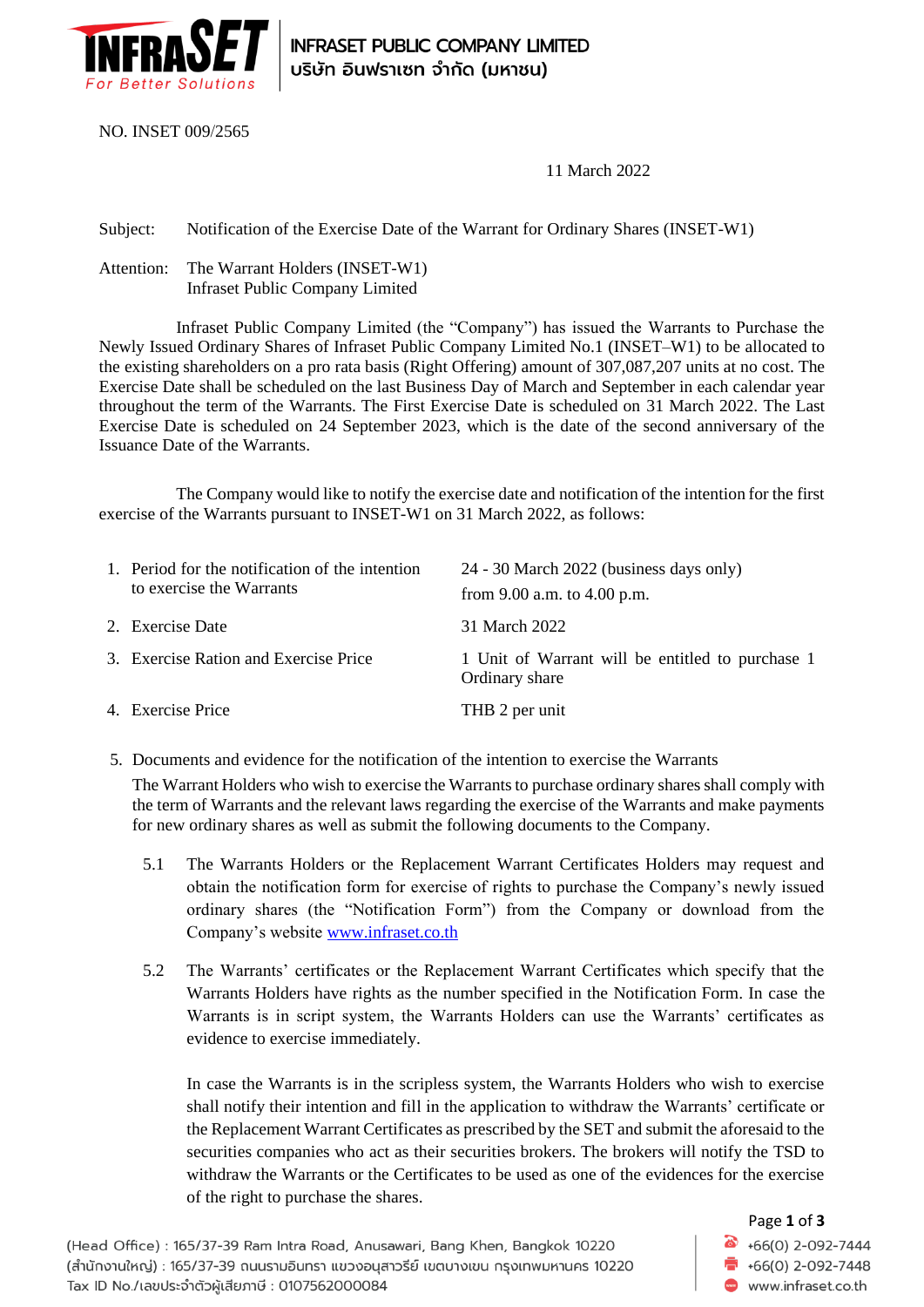

**INFRASET PUBLIC COMPANY LIMITED** บริษัท อินฟราเซท จำกัด (มหาชน)

NO. INSET 009/2565

11 March 2022

Subject: Notification of the Exercise Date of the Warrant for Ordinary Shares (INSET-W1)

Attention: The Warrant Holders (INSET-W1) Infraset Public Company Limited

Infraset Public Company Limited (the "Company") has issued the Warrants to Purchase the Newly Issued Ordinary Shares of Infraset Public Company Limited No.1 (INSET–W1) to be allocated to the existing shareholders on a pro rata basis (Right Offering) amount of 307,087,207 units at no cost. The Exercise Date shall be scheduled on the last Business Day of March and September in each calendar year throughout the term of the Warrants. The First Exercise Date is scheduled on 31 March 2022. The Last Exercise Date is scheduled on 24 September 2023, which is the date of the second anniversary of the Issuance Date of the Warrants.

The Company would like to notify the exercise date and notification of the intention for the first exercise of the Warrants pursuant to INSET-W1 on 31 March 2022, as follows:

| 1. Period for the notification of the intention<br>to exercise the Warrants | 24 - 30 March 2022 (business days only)                            |
|-----------------------------------------------------------------------------|--------------------------------------------------------------------|
|                                                                             | from $9.00$ a.m. to $4.00$ p.m.                                    |
| 2. Exercise Date                                                            | 31 March 2022                                                      |
| 3. Exercise Ration and Exercise Price                                       | 1 Unit of Warrant will be entitled to purchase 1<br>Ordinary share |
| 4. Exercise Price                                                           | THB 2 per unit                                                     |

5. Documents and evidence for the notification of the intention to exercise the Warrants

The Warrant Holders who wish to exercise the Warrants to purchase ordinary shares shall comply with the term of Warrants and the relevant laws regarding the exercise of the Warrants and make payments for new ordinary shares as well as submit the following documents to the Company.

- 5.1 The Warrants Holders or the Replacement Warrant Certificates Holders may request and obtain the notification form for exercise of rights to purchase the Company's newly issued ordinary shares (the "Notification Form") from the Company or download from the Company's website [www.infraset.co.th](http://www.infraset.co.th/)
- 5.2 The Warrants' certificates or the Replacement Warrant Certificates which specify that the Warrants Holders have rights as the number specified in the Notification Form. In case the Warrants is in script system, the Warrants Holders can use the Warrants' certificates as evidence to exercise immediately.

In case the Warrants is in the scripless system, the Warrants Holders who wish to exercise shall notify their intention and fill in the application to withdraw the Warrants' certificate or the Replacement Warrant Certificates as prescribed by the SET and submit the aforesaid to the securities companies who act as their securities brokers. The brokers will notify the TSD to withdraw the Warrants or the Certificates to be used as one of the evidences for the exercise of the right to purchase the shares.

(Head Office) : 165/37-39 Ram Intra Road, Anusawari, Bang Khen, Bangkok 10220 (สำนักงานใหญ่) : 165/37-39 ถนนรามอินทรา แขวงอนุสาวรีย์ เขตบางเขน กรุงเทพมหานคร 10220 Tax ID No./เลขประจำตัวผู้เสียภาษี : 0107562000084

## Page **1** of **3**

 $\bullet$  +66(0) 2-092-7444  $\overline{1}$  +66(0) 2-092-7448 www.infraset.co.th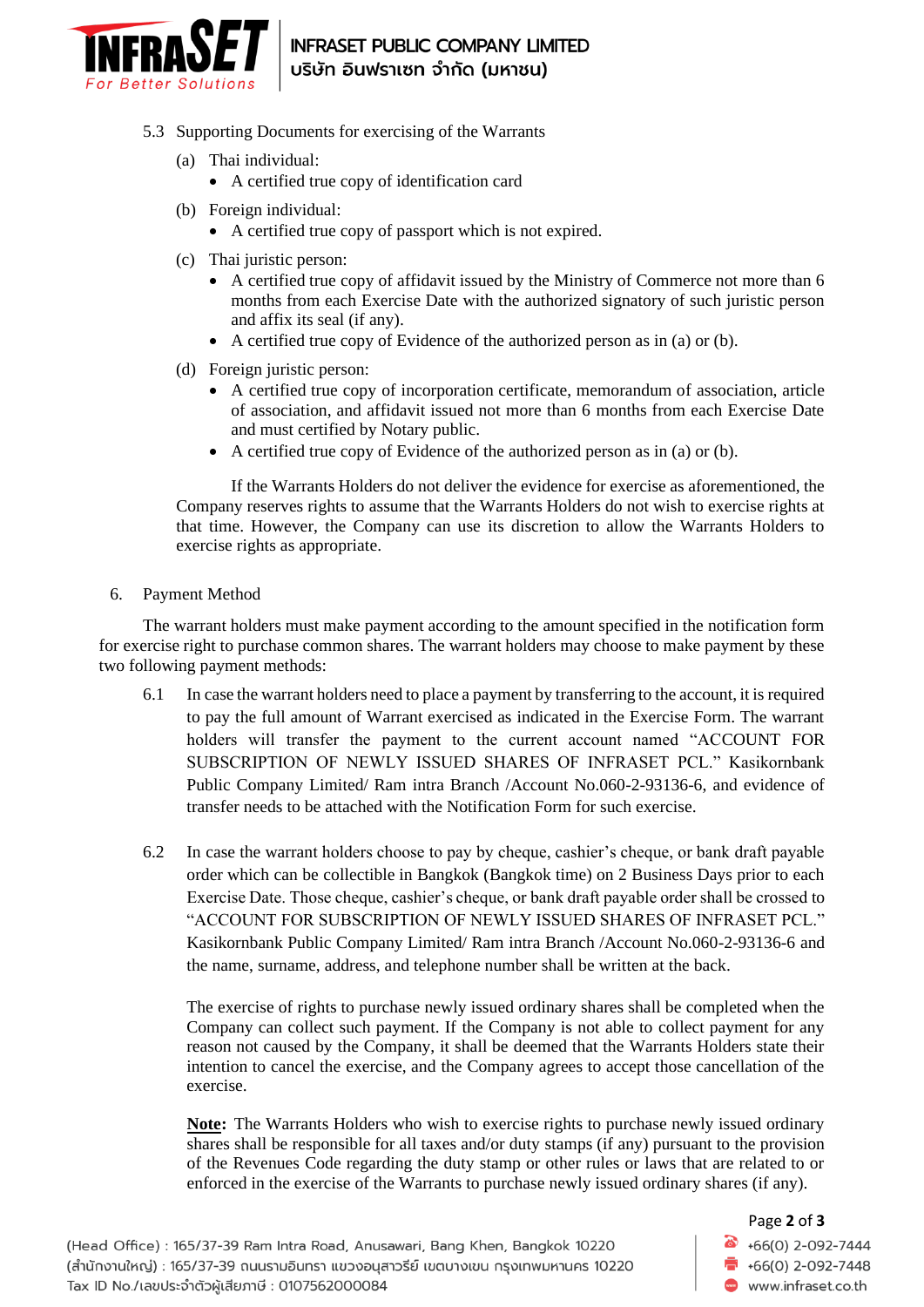

## **INFRASET PUBLIC COMPANY LIMITED** บริษัท อินฟราเซท จำกัด (มหาชน)

- 5.3 Supporting Documents for exercising of the Warrants
	- (a) Thai individual:
		- A certified true copy of identification card
	- (b) Foreign individual:
		- A certified true copy of passport which is not expired.
	- (c) Thai juristic person:
		- A certified true copy of affidavit issued by the Ministry of Commerce not more than 6 months from each Exercise Date with the authorized signatory of such juristic person and affix its seal (if any).
		- A certified true copy of Evidence of the authorized person as in (a) or (b).
	- (d) Foreign juristic person:
		- A certified true copy of incorporation certificate, memorandum of association, article of association, and affidavit issued not more than 6 months from each Exercise Date and must certified by Notary public.
		- A certified true copy of Evidence of the authorized person as in (a) or (b).

If the Warrants Holders do not deliver the evidence for exercise as aforementioned, the Company reserves rights to assume that the Warrants Holders do not wish to exercise rights at that time. However, the Company can use its discretion to allow the Warrants Holders to exercise rights as appropriate.

6. Payment Method

The warrant holders must make payment according to the amount specified in the notification form for exercise right to purchase common shares. The warrant holders may choose to make payment by these two following payment methods:

- 6.1 In case the warrant holders need to place a payment by transferring to the account, it is required to pay the full amount of Warrant exercised as indicated in the Exercise Form. The warrant holders will transfer the payment to the current account named "ACCOUNT FOR SUBSCRIPTION OF NEWLY ISSUED SHARES OF INFRASET PCL." Kasikornbank Public Company Limited/ Ram intra Branch /Account No.060-2-93136-6, and evidence of transfer needs to be attached with the Notification Form for such exercise.
- 6.2 In case the warrant holders choose to pay by cheque, cashier's cheque, or bank draft payable order which can be collectible in Bangkok (Bangkok time) on 2 Business Days prior to each Exercise Date. Those cheque, cashier's cheque, or bank draft payable order shall be crossed to "ACCOUNT FOR SUBSCRIPTION OF NEWLY ISSUED SHARES OF INFRASET PCL." Kasikornbank Public Company Limited/ Ram intra Branch /Account No.060-2-93136-6 and the name, surname, address, and telephone number shall be written at the back.

The exercise of rights to purchase newly issued ordinary shares shall be completed when the Company can collect such payment. If the Company is not able to collect payment for any reason not caused by the Company, it shall be deemed that the Warrants Holders state their intention to cancel the exercise, and the Company agrees to accept those cancellation of the exercise.

**Note:** The Warrants Holders who wish to exercise rights to purchase newly issued ordinary shares shall be responsible for all taxes and/or duty stamps (if any) pursuant to the provision of the Revenues Code regarding the duty stamp or other rules or laws that are related to or enforced in the exercise of the Warrants to purchase newly issued ordinary shares (if any).

## Page **2** of **3**  $\bullet$  +66(0) 2-092-7444  $\overline{1}$  +66(0) 2-092-7448

www.infraset.co.th